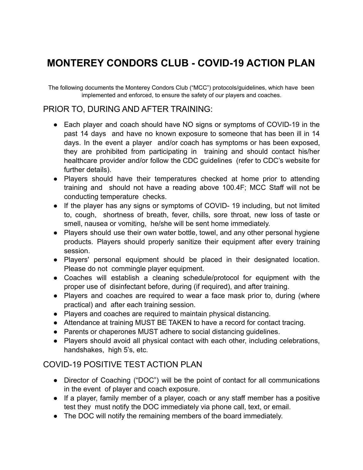# **MONTEREY CONDORS CLUB - COVID-19 ACTION PLAN**

The following documents the Monterey Condors Club ("MCC") protocols/guidelines, which have been implemented and enforced, to ensure the safety of our players and coaches.

#### PRIOR TO, DURING AND AFTER TRAINING:

- Each player and coach should have NO signs or symptoms of COVID-19 in the past 14 days and have no known exposure to someone that has been ill in 14 days. In the event a player and/or coach has symptoms or has been exposed, they are prohibited from participating in training and should contact his/her healthcare provider and/or follow the CDC guidelines (refer to CDC's website for further details).
- Players should have their temperatures checked at home prior to attending training and should not have a reading above 100.4F; MCC Staff will not be conducting temperature checks.
- If the player has any signs or symptoms of COVID-19 including, but not limited to, cough, shortness of breath, fever, chills, sore throat, new loss of taste or smell, nausea or vomiting, he/she will be sent home immediately.
- Players should use their own water bottle, towel, and any other personal hygiene products. Players should properly sanitize their equipment after every training session.
- Players' personal equipment should be placed in their designated location. Please do not commingle player equipment.
- Coaches will establish a cleaning schedule/protocol for equipment with the proper use of disinfectant before, during (if required), and after training.
- Players and coaches are required to wear a face mask prior to, during (where practical) and after each training session.
- Players and coaches are required to maintain physical distancing.
- Attendance at training MUST BE TAKEN to have a record for contact tracing.
- Parents or chaperones MUST adhere to social distancing guidelines.
- Players should avoid all physical contact with each other, including celebrations, handshakes, high 5's, etc.

### COVID-19 POSITIVE TEST ACTION PLAN

- Director of Coaching ("DOC") will be the point of contact for all communications in the event of player and coach exposure.
- If a player, family member of a player, coach or any staff member has a positive test they must notify the DOC immediately via phone call, text, or email.
- The DOC will notify the remaining members of the board immediately.